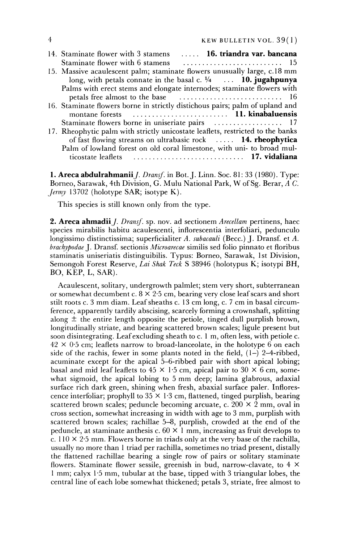| 16. triandra var. bancana<br>14. Staminate flower with 3 stamens               |
|--------------------------------------------------------------------------------|
| Staminate flower with 6 stamens                                                |
| 15. Massive acaulescent palm; staminate flowers unusually large, c.18 mm       |
| long, with petals connate in the basal c. $\frac{1}{4}$ 10. jugahpunya         |
| Palms with erect stems and elongate internodes; staminate flowers with         |
|                                                                                |
| 16. Staminate flowers borne in strictly distichous pairs; palm of upland and   |
|                                                                                |
| Staminate flowers borne in uniseriate pairs  17                                |
| 17. Rheophytic palm with strictly unicostate leaflets, restricted to the banks |
| of fast flowing streams on ultrabasic rock  14. rheophytica                    |
| Palm of lowland forest on old coral limestone, with uni- to broad mul-         |
| ticostate leaflets                                                             |

**1. Areca abdulrahmanii** *J. Dransf.* in Bot. J. Linn. Soc. 81: 33 (1980). Type: **Borneo, Sarawak, 4th Division, G. Mulu National Park, W of Sg. Berar, A C. Jermy 13702 (holotype SAR; isotype K).** 

**This species is still known only from the type.** 

**2. Areca ahmadii** *J. Dransf.* sp. nov. ad sectionem *Arecellam* pertinens, haec **species mirabilis habitu acaulescenti, inflorescentia interfoliari, pedunculo longissimo distinctissima; superficialiter A. subacauli (Becc.) J. Dransf. et A. brachypodae J. Dransf. sectionis Microarecae similis sed folio pinnato et floribus staminatis uniseriatis distinguibilis. Typus: Borneo, Sarawak, 1st Division, Semongoh Forest Reserve, Lai Shak Teck S 38946 (holotypus K; isotypi BH, BO, KEP, L, SAR).** 

**Acaulescent, solitary, undergrowth palmlet; stem very short, subterranean or somewhat decumbent c. 8 x 2-5 cm, bearing very close leaf scars and short stilt roots c. 3 mm diam. Leaf sheaths c. 13 cm long, c. 7 cm in basal circumference, apparently tardily abscising, scarcely forming a crownshaft, splitting**  along  $\pm$  the entire length opposite the petiole, tinged dull purplish brown, **longitudinally striate, and bearing scattered brown scales; ligule present but soon disintegrating. Leaf excluding sheath to c. 1 m, often less, with petiole c. 42 x 0-5 cm; leaflets narrow to broad-lanceolate, in the holotype 6 on each**  side of the rachis, fewer in some plants noted in the field,  $(1-)$  2-4-ribbed, **acuminate except for the apical 5-6-ribbed pair with short apical lobing; basal and mid leaf leaflets to 45 x 1 5 cm, apical pair to 30 x 6 cm, somewhat sigmoid, the apical lobing to 5 mm deep; lamina glabrous, adaxial surface rich dark green, shining when fresh, abaxial surface paler. Inflorescence interfoliar; prophyll to 35 x 1-3 cm, flattened, tinged purplish, bearing scattered brown scales; peduncle becoming arcuate, c. 200 x 2 mm, oval in cross section, somewhat increasing in width with age to 3 mm, purplish with scattered brown scales; rachillae 5-8, purplish, crowded at the end of the peduncle, at staminate anthesis c. 60 x 1 mm, increasing as fruit develops to c. 110 x 2-5 mm. Flowers borne in triads only at the very base of the rachilla, usually no more than 1 triad per rachilla, sometimes no triad present, distally the flattened rachillae bearing a single row of pairs or solitary staminate flowers. Staminate flower sessile, greenish in bud, narrow-clavate, to 4 x 1 mm; calyx 1"5 mm, tubular at the base, tipped with 3 triangular lobes, the central line of each lobe somewhat thickened; petals 3, striate, free almost to**